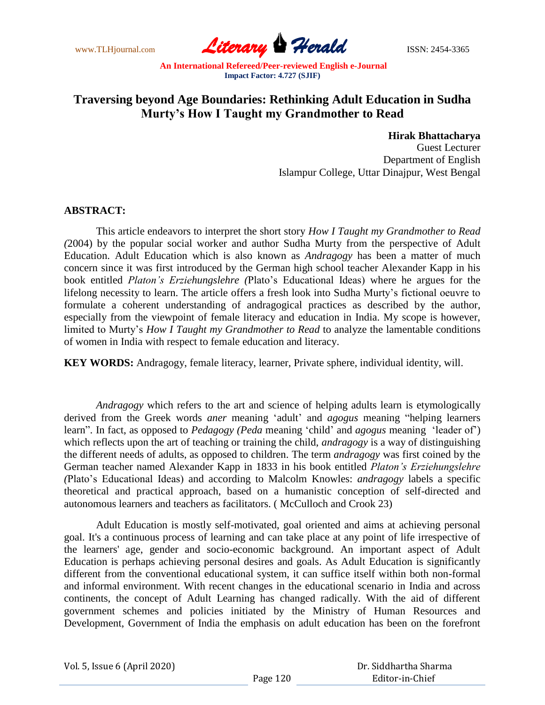www.TLHjournal.com **Literary Perald Herald ISSN: 2454-3365** 

## **Traversing beyond Age Boundaries: Rethinking Adult Education in Sudha Murty's How I Taught my Grandmother to Read**

## **Hirak Bhattacharya**

Guest Lecturer Department of English Islampur College, Uttar Dinajpur, West Bengal

## **ABSTRACT:**

This article endeavors to interpret the short story *How I Taught my Grandmother to Read (*2004) by the popular social worker and author Sudha Murty from the perspective of Adult Education. Adult Education which is also known as *Andragogy* has been a matter of much concern since it was first introduced by the German high school teacher Alexander Kapp in his book entitled *Platon's Erziehungslehre (*Plato"s Educational Ideas) where he argues for the lifelong necessity to learn. The article offers a fresh look into Sudha Murty"s fictional oeuvre to formulate a coherent understanding of andragogical practices as described by the author, especially from the viewpoint of female literacy and education in India. My scope is however, limited to Murty"s *How I Taught my Grandmother to Read* to analyze the lamentable conditions of women in India with respect to female education and literacy.

**KEY WORDS:** Andragogy, female literacy, learner, Private sphere, individual identity, will.

*Andragogy* which refers to the art and science of helping adults learn is etymologically derived from the Greek words *aner* meaning "adult" and *agogus* meaning "helping learners learn". In fact, as opposed to *Pedagogy (Peda* meaning "child" and *agogus* meaning "leader of") which reflects upon the art of teaching or training the child, *andragogy* is a way of distinguishing the different needs of adults, as opposed to children. The term *andragogy* was first coined by the German teacher named Alexander Kapp in 1833 in his book entitled *Platon's Erziehungslehre (*Plato"s Educational Ideas) and according to Malcolm Knowles: *andragogy* labels a specific theoretical and practical approach, based on a humanistic conception of self-directed and autonomous learners and teachers as facilitators. ( McCulloch and Crook 23)

Adult Education is mostly self-motivated, goal oriented and aims at achieving personal goal. It's a continuous process of learning and can take place at any point of life irrespective of the learners' age, gender and socio-economic background. An important aspect of Adult Education is perhaps achieving personal desires and goals. As Adult Education is significantly different from the conventional educational system, it can suffice itself within both non-formal and informal environment. With recent changes in the educational scenario in India and across continents, the concept of Adult Learning has changed radically. With the aid of different government schemes and policies initiated by the Ministry of Human Resources and Development, Government of India the emphasis on adult education has been on the forefront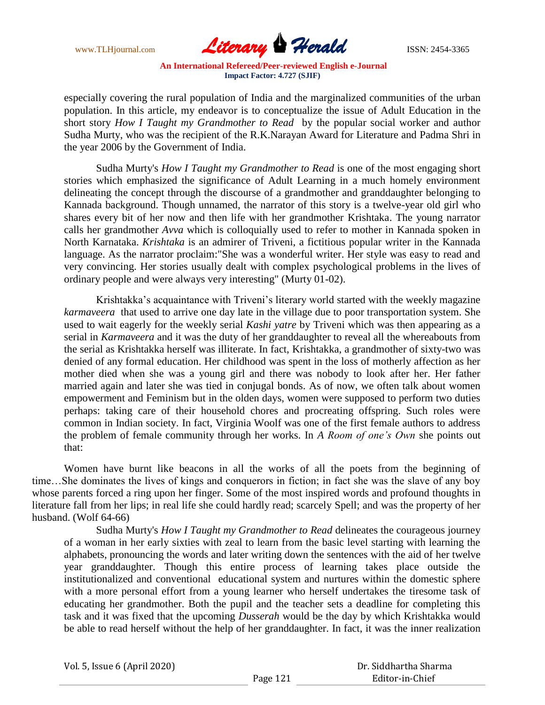

especially covering the rural population of India and the marginalized communities of the urban population. In this article, my endeavor is to conceptualize the issue of Adult Education in the short story *How I Taught my Grandmother to Read* by the popular social worker and author Sudha Murty, who was the recipient of the R.K.Narayan Award for Literature and Padma Shri in the year 2006 by the Government of India.

Sudha Murty's *How I Taught my Grandmother to Read* is one of the most engaging short stories which emphasized the significance of Adult Learning in a much homely environment delineating the concept through the discourse of a grandmother and granddaughter belonging to Kannada background. Though unnamed, the narrator of this story is a twelve-year old girl who shares every bit of her now and then life with her grandmother Krishtaka. The young narrator calls her grandmother *Avva* which is colloquially used to refer to mother in Kannada spoken in North Karnataka. *Krishtaka* is an admirer of Triveni, a fictitious popular writer in the Kannada language. As the narrator proclaim:"She was a wonderful writer. Her style was easy to read and very convincing. Her stories usually dealt with complex psychological problems in the lives of ordinary people and were always very interesting" (Murty 01-02).

Krishtakka"s acquaintance with Triveni"s literary world started with the weekly magazine *karmaveera* that used to arrive one day late in the village due to poor transportation system. She used to wait eagerly for the weekly serial *Kashi yatre* by Triveni which was then appearing as a serial in *Karmaveera* and it was the duty of her granddaughter to reveal all the whereabouts from the serial as Krishtakka herself was illiterate. In fact, Krishtakka, a grandmother of sixty-two was denied of any formal education. Her childhood was spent in the loss of motherly affection as her mother died when she was a young girl and there was nobody to look after her. Her father married again and later she was tied in conjugal bonds. As of now, we often talk about women empowerment and Feminism but in the olden days, women were supposed to perform two duties perhaps: taking care of their household chores and procreating offspring. Such roles were common in Indian society. In fact, Virginia Woolf was one of the first female authors to address the problem of female community through her works. In *A Room of one's Own* she points out that:

Women have burnt like beacons in all the works of all the poets from the beginning of time…She dominates the lives of kings and conquerors in fiction; in fact she was the slave of any boy whose parents forced a ring upon her finger. Some of the most inspired words and profound thoughts in literature fall from her lips; in real life she could hardly read; scarcely Spell; and was the property of her husband. (Wolf 64-66)

Sudha Murty's *How I Taught my Grandmother to Read* delineates the courageous journey of a woman in her early sixties with zeal to learn from the basic level starting with learning the alphabets, pronouncing the words and later writing down the sentences with the aid of her twelve year granddaughter. Though this entire process of learning takes place outside the institutionalized and conventional educational system and nurtures within the domestic sphere with a more personal effort from a young learner who herself undertakes the tiresome task of educating her grandmother. Both the pupil and the teacher sets a deadline for completing this task and it was fixed that the upcoming *Dusserah* would be the day by which Krishtakka would be able to read herself without the help of her granddaughter. In fact, it was the inner realization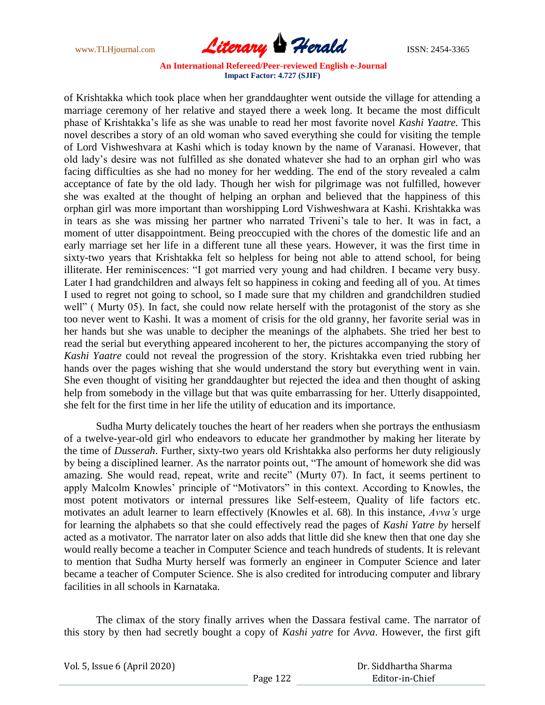

of Krishtakka which took place when her granddaughter went outside the village for attending a marriage ceremony of her relative and stayed there a week long. It became the most difficult phase of Krishtakka"s life as she was unable to read her most favorite novel *Kashi Yaatre.* This novel describes a story of an old woman who saved everything she could for visiting the temple of Lord Vishweshvara at Kashi which is today known by the name of Varanasi. However, that old lady"s desire was not fulfilled as she donated whatever she had to an orphan girl who was facing difficulties as she had no money for her wedding. The end of the story revealed a calm acceptance of fate by the old lady. Though her wish for pilgrimage was not fulfilled, however she was exalted at the thought of helping an orphan and believed that the happiness of this orphan girl was more important than worshipping Lord Vishweshwara at Kashi. Krishtakka was in tears as she was missing her partner who narrated Triveni's tale to her. It was in fact, a moment of utter disappointment. Being preoccupied with the chores of the domestic life and an early marriage set her life in a different tune all these years. However, it was the first time in sixty-two years that Krishtakka felt so helpless for being not able to attend school, for being illiterate. Her reminiscences: "I got married very young and had children. I became very busy. Later I had grandchildren and always felt so happiness in coking and feeding all of you. At times I used to regret not going to school, so I made sure that my children and grandchildren studied well" ( Murty 05). In fact, she could now relate herself with the protagonist of the story as she too never went to Kashi. It was a moment of crisis for the old granny, her favorite serial was in her hands but she was unable to decipher the meanings of the alphabets. She tried her best to read the serial but everything appeared incoherent to her, the pictures accompanying the story of *Kashi Yaatre* could not reveal the progression of the story. Krishtakka even tried rubbing her hands over the pages wishing that she would understand the story but everything went in vain. She even thought of visiting her granddaughter but rejected the idea and then thought of asking help from somebody in the village but that was quite embarrassing for her. Utterly disappointed, she felt for the first time in her life the utility of education and its importance.

Sudha Murty delicately touches the heart of her readers when she portrays the enthusiasm of a twelve-year-old girl who endeavors to educate her grandmother by making her literate by the time of *Dusserah*. Further, sixty-two years old Krishtakka also performs her duty religiously by being a disciplined learner. As the narrator points out, "The amount of homework she did was amazing. She would read, repeat, write and recite" (Murty 07). In fact, it seems pertinent to apply Malcolm Knowles' principle of "Motivators" in this context. According to Knowles, the most potent motivators or internal pressures like Self-esteem, Quality of life factors etc. motivates an adult learner to learn effectively (Knowles et al. 68). In this instance, *Avva's* urge for learning the alphabets so that she could effectively read the pages of *Kashi Yatre by* herself acted as a motivator. The narrator later on also adds that little did she knew then that one day she would really become a teacher in Computer Science and teach hundreds of students. It is relevant to mention that Sudha Murty herself was formerly an engineer in Computer Science and later became a teacher of Computer Science. She is also credited for introducing computer and library facilities in all schools in Karnataka.

The climax of the story finally arrives when the Dassara festival came. The narrator of this story by then had secretly bought a copy of *Kashi yatre* for *Avva*. However, the first gift

| Vol. 5, Issue 6 (April 2020) |          | Dr. Siddhartha Sharma |
|------------------------------|----------|-----------------------|
|                              | Page 122 | Editor-in-Chief       |